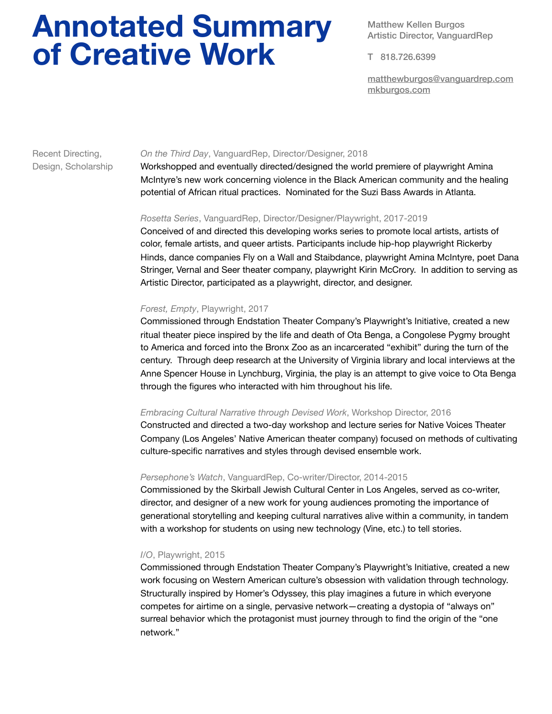# **Annotated Summary of Creative Work**

Matthew Kellen Burgos Artistic Director, VanguardRep

T 818.726.6399

[matthewburgos@vanguardrep.com](mailto:matthewburgos@vanguardrep.com) [mkburgos.com](http://mkburgos.com)

# Recent Directing, *On the Third Day*, VanguardRep, Director/Designer, 2018

Design, Scholarship Workshopped and eventually directed/designed the world premiere of playwright Amina McIntyre's new work concerning violence in the Black American community and the healing potential of African ritual practices. Nominated for the Suzi Bass Awards in Atlanta.

# *Rosetta Series*, VanguardRep, Director/Designer/Playwright, 2017-2019

Conceived of and directed this developing works series to promote local artists, artists of color, female artists, and queer artists. Participants include hip-hop playwright Rickerby Hinds, dance companies Fly on a Wall and Staibdance, playwright Amina McIntyre, poet Dana Stringer, Vernal and Seer theater company, playwright Kirin McCrory. In addition to serving as Artistic Director, participated as a playwright, director, and designer.

# *Forest, Empty*, Playwright, 2017

Commissioned through Endstation Theater Company's Playwright's Initiative, created a new ritual theater piece inspired by the life and death of Ota Benga, a Congolese Pygmy brought to America and forced into the Bronx Zoo as an incarcerated "exhibit" during the turn of the century. Through deep research at the University of Virginia library and local interviews at the Anne Spencer House in Lynchburg, Virginia, the play is an attempt to give voice to Ota Benga through the figures who interacted with him throughout his life.

# *Embracing Cultural Narrative through Devised Work*, Workshop Director, 2016

Constructed and directed a two-day workshop and lecture series for Native Voices Theater Company (Los Angeles' Native American theater company) focused on methods of cultivating culture-specific narratives and styles through devised ensemble work.

# *Persephone's Watch*, VanguardRep, Co-writer/Director, 2014-2015

Commissioned by the Skirball Jewish Cultural Center in Los Angeles, served as co-writer, director, and designer of a new work for young audiences promoting the importance of generational storytelling and keeping cultural narratives alive within a community, in tandem with a workshop for students on using new technology (Vine, etc.) to tell stories.

# *I/O*, Playwright, 2015

Commissioned through Endstation Theater Company's Playwright's Initiative, created a new work focusing on Western American culture's obsession with validation through technology. Structurally inspired by Homer's Odyssey, this play imagines a future in which everyone competes for airtime on a single, pervasive network—creating a dystopia of "always on" surreal behavior which the protagonist must journey through to find the origin of the "one network."